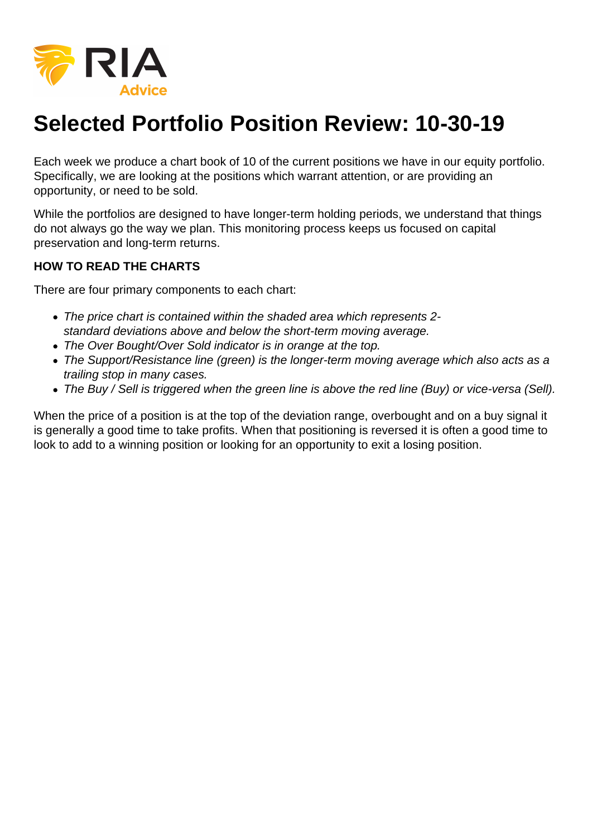

## **Selected Portfolio Position Review: 10-30-19**

Each week we produce a chart book of 10 of the current positions we have in our equity portfolio. Specifically, we are looking at the positions which warrant attention, or are providing an opportunity, or need to be sold.

While the portfolios are designed to have longer-term holding periods, we understand that things do not always go the way we plan. This monitoring process keeps us focused on capital preservation and long-term returns.

## **HOW TO READ THE CHARTS**

There are four primary components to each chart:

- The price chart is contained within the shaded area which represents 2 standard deviations above and below the short-term moving average.
- The Over Bought/Over Sold indicator is in orange at the top.
- The Support/Resistance line (green) is the longer-term moving average which also acts as a trailing stop in many cases.
- The Buy / Sell is triggered when the green line is above the red line (Buy) or vice-versa (Sell).

When the price of a position is at the top of the deviation range, overbought and on a buy signal it is generally a good time to take profits. When that positioning is reversed it is often a good time to look to add to a winning position or looking for an opportunity to exit a losing position.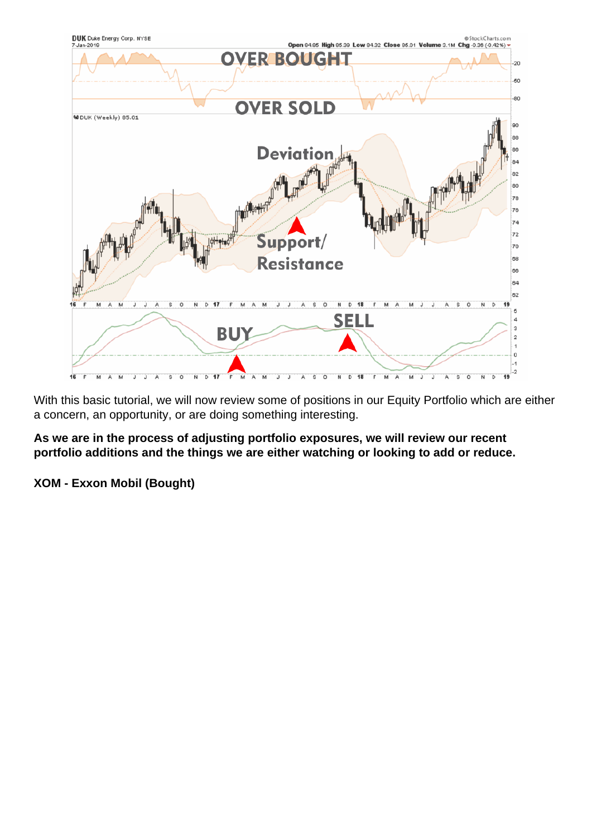With this basic tutorial, we will now review some of positions in our Equity Portfolio which are either a concern, an opportunity, or are doing something interesting.

As we are in the process of adjusting portfolio exposures, we will review our recent portfolio additions and the things we are either watching or looking to add or reduce.

XOM - Exxon Mobil (Bought)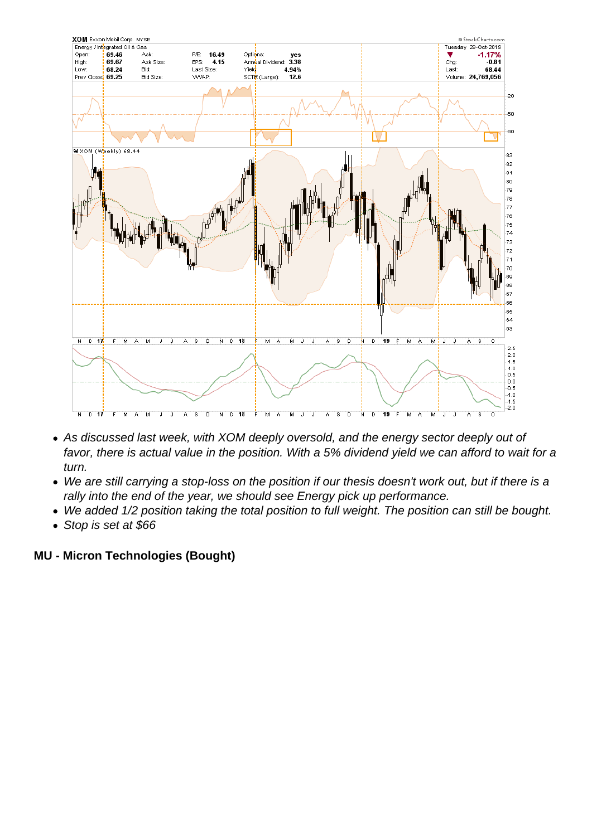- As discussed last week, with XOM deeply oversold, and the energy sector deeply out of favor, there is actual value in the position. With a 5% dividend yield we can afford to wait for a turn.
- We are still carrying a stop-loss on the position if our thesis doesn't work out, but if there is a rally into the end of the year, we should see Energy pick up performance.
- We added 1/2 position taking the total position to full weight. The position can still be bought.
- Stop is set at \$66

MU - Micron Technologies (Bought)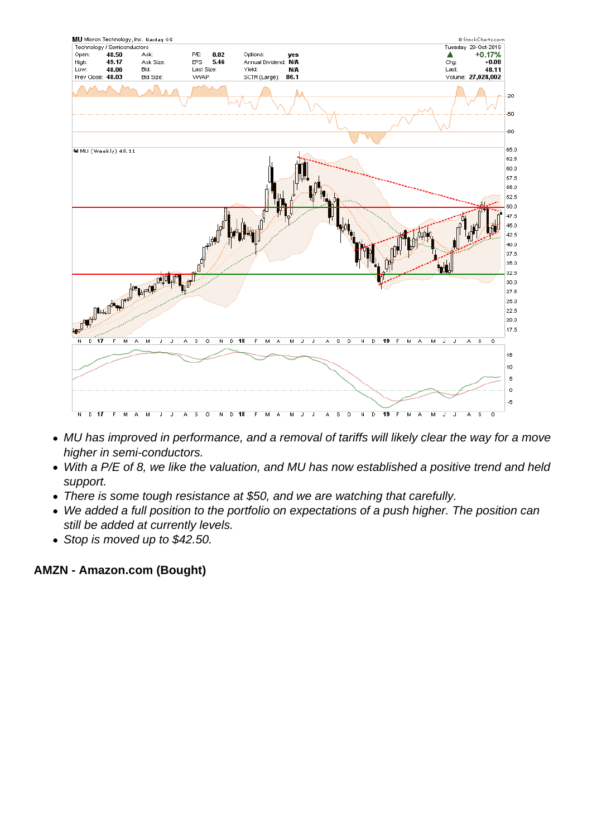- MU has improved in performance, and a removal of tariffs will likely clear the way for a move higher in semi-conductors.
- With a P/E of 8, we like the valuation, and MU has now established a positive trend and held support.
- There is some tough resistance at \$50, and we are watching that carefully.
- We added a full position to the portfolio on expectations of a push higher. The position can still be added at currently levels.
- Stop is moved up to \$42.50.

AMZN - Amazon.com (Bought)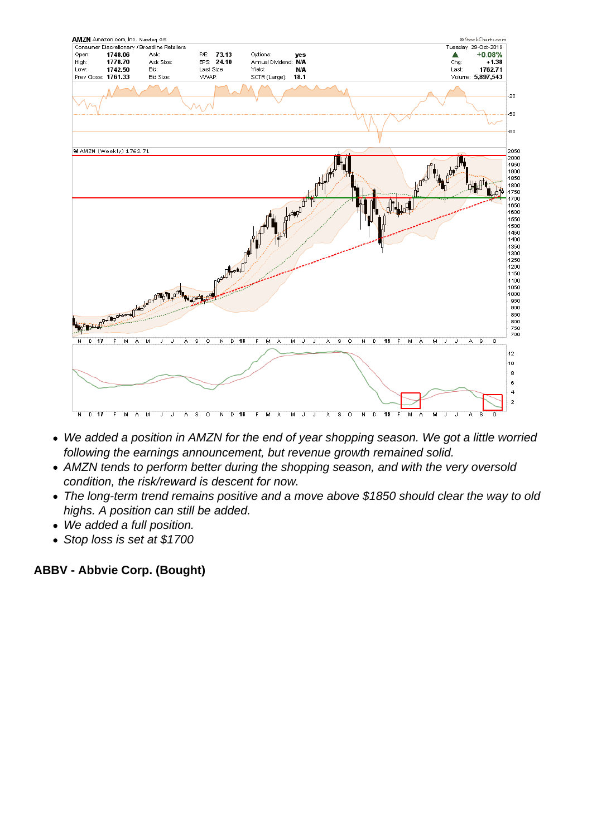- We added a position in AMZN for the end of year shopping season. We got a little worried following the earnings announcement, but revenue growth remained solid.
- AMZN tends to perform better during the shopping season, and with the very oversold condition, the risk/reward is descent for now.
- The long-term trend remains positive and a move above \$1850 should clear the way to old highs. A position can still be added.
- We added a full position.
- Stop loss is set at \$1700

ABBV - Abbvie Corp. (Bought)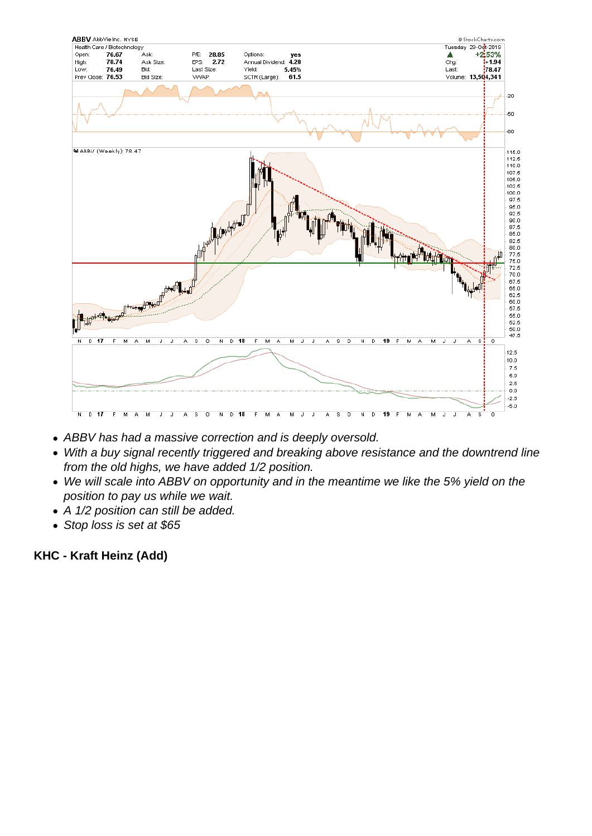- ABBV has had a massive correction and is deeply oversold.
- With a buy signal recently triggered and breaking above resistance and the downtrend line from the old highs, we have added 1/2 position.
- We will scale into ABBV on opportunity and in the meantime we like the 5% yield on the position to pay us while we wait.
- A 1/2 position can still be added.
- Stop loss is set at \$65

KHC - Kraft Heinz (Add)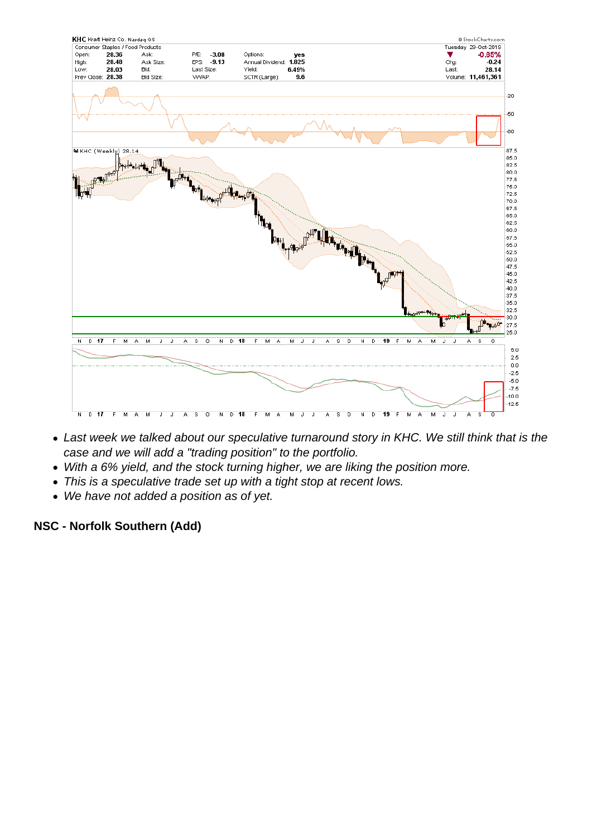- Last week we talked about our speculative turnaround story in KHC. We still think that is the case and we will add a "trading position" to the portfolio.
- With a 6% yield, and the stock turning higher, we are liking the position more.
- This is a speculative trade set up with a tight stop at recent lows.
- We have not added a position as of yet.

NSC - Norfolk Southern (Add)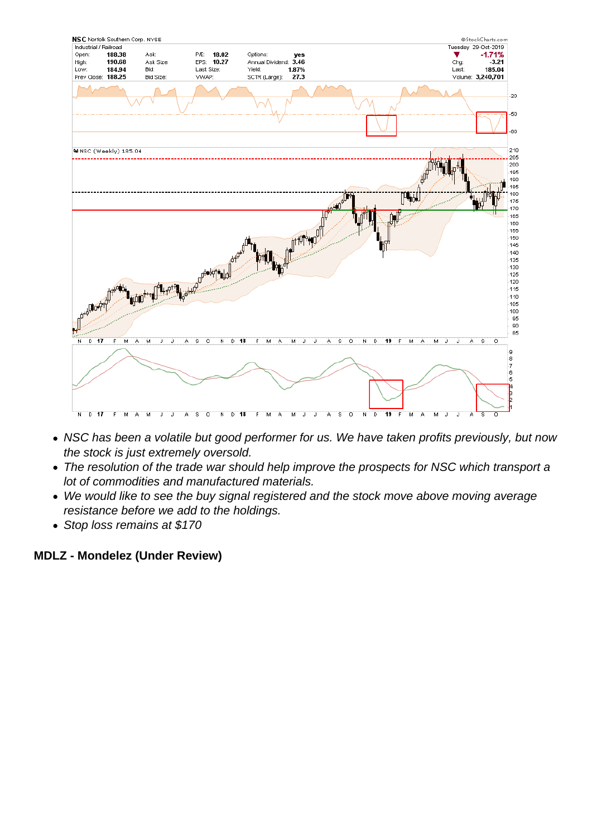- NSC has been a volatile but good performer for us. We have taken profits previously, but now the stock is just extremely oversold.
- The resolution of the trade war should help improve the prospects for NSC which transport a lot of commodities and manufactured materials.
- We would like to see the buy signal registered and the stock move above moving average resistance before we add to the holdings.
- Stop loss remains at \$170

MDLZ - Mondelez (Under Review)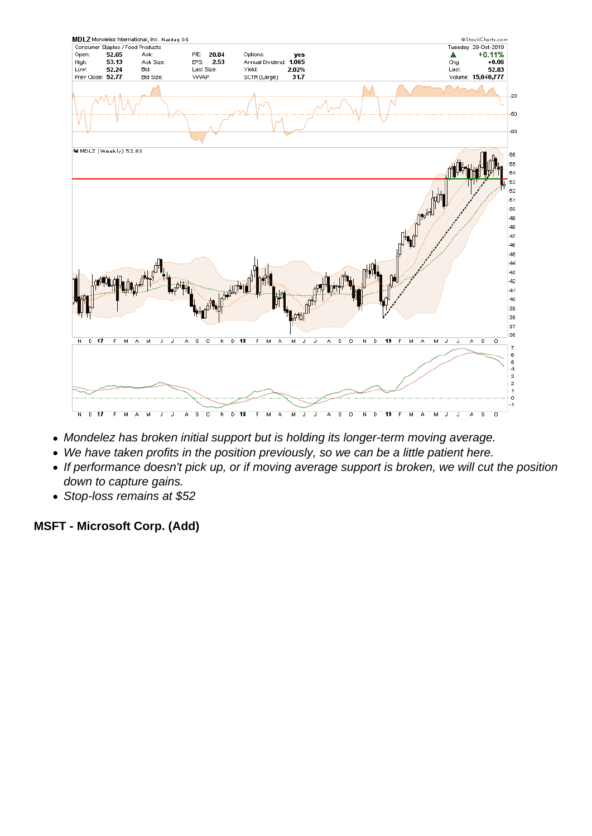- Mondelez has broken initial support but is holding its longer-term moving average.
- We have taken profits in the position previously, so we can be a little patient here.
- If performance doesn't pick up, or if moving average support is broken, we will cut the position down to capture gains.
- Stop-loss remains at \$52

MSFT - Microsoft Corp. (Add)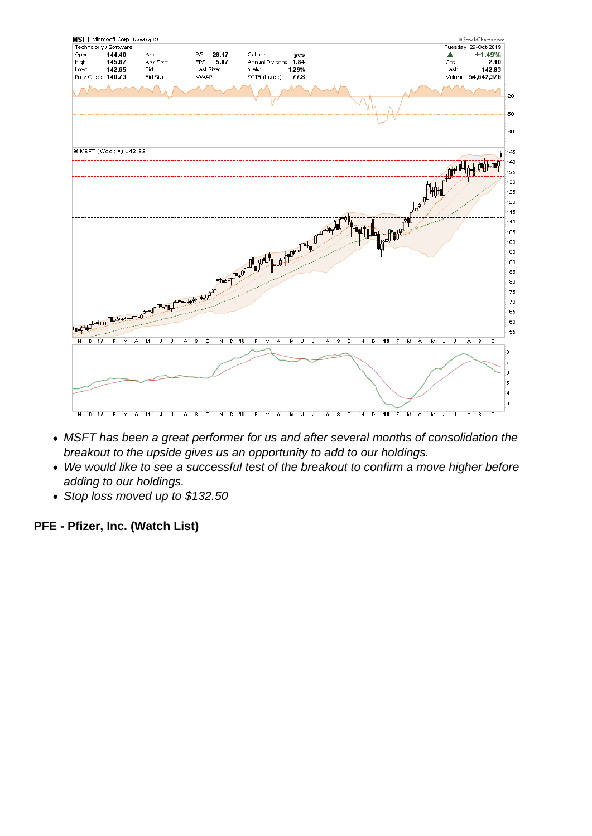- MSFT has been a great performer for us and after several months of consolidation the breakout to the upside gives us an opportunity to add to our holdings.
- We would like to see a successful test of the breakout to confirm a move higher before adding to our holdings.
- Stop loss moved up to \$132.50

PFE - Pfizer, Inc. (Watch List)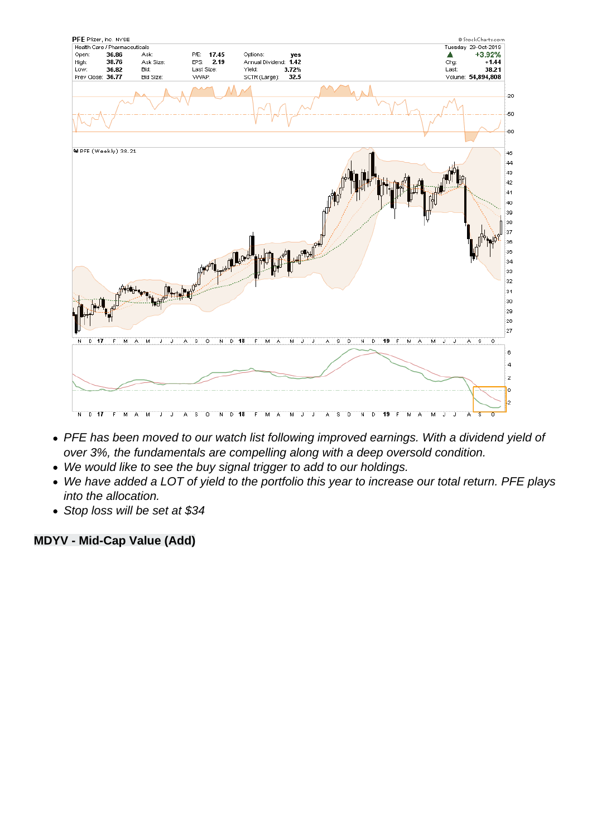- PFE has been moved to our watch list following improved earnings. With a dividend yield of over 3%, the fundamentals are compelling along with a deep oversold condition.
- We would like to see the buy signal trigger to add to our holdings.
- We have added a LOT of yield to the portfolio this year to increase our total return. PFE plays into the allocation.
- Stop loss will be set at \$34

MDYV - Mid-Cap Value (Add)